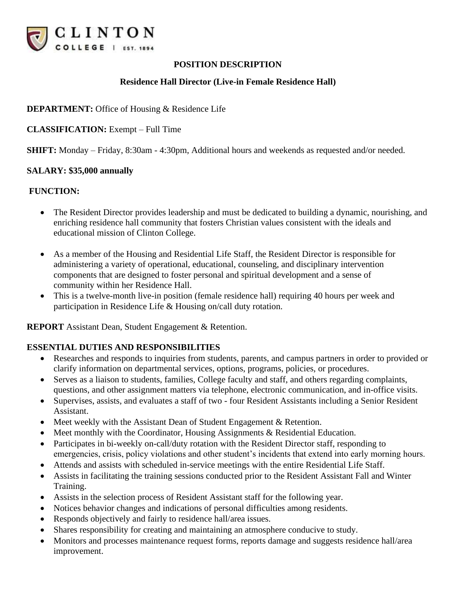

## **POSITION DESCRIPTION**

## **Residence Hall Director (Live-in Female Residence Hall)**

## **DEPARTMENT:** Office of Housing & Residence Life

**CLASSIFICATION:** Exempt – Full Time

**SHIFT:** Monday – Friday, 8:30am - 4:30pm, Additional hours and weekends as requested and/or needed.

#### **SALARY: \$35,000 annually**

#### **FUNCTION:**

- The Resident Director provides leadership and must be dedicated to building a dynamic, nourishing, and enriching residence hall community that fosters Christian values consistent with the ideals and educational mission of Clinton College.
- As a member of the Housing and Residential Life Staff, the Resident Director is responsible for administering a variety of operational, educational, counseling, and disciplinary intervention components that are designed to foster personal and spiritual development and a sense of community within her Residence Hall.
- This is a twelve-month live-in position (female residence hall) requiring 40 hours per week and participation in Residence Life & Housing on/call duty rotation.

**REPORT** Assistant Dean, Student Engagement & Retention.

#### **ESSENTIAL DUTIES AND RESPONSIBILITIES**

- Researches and responds to inquiries from students, parents, and campus partners in order to provided or clarify information on departmental services, options, programs, policies, or procedures.
- Serves as a liaison to students, families, College faculty and staff, and others regarding complaints, questions, and other assignment matters via telephone, electronic communication, and in-office visits.
- Supervises, assists, and evaluates a staff of two four Resident Assistants including a Senior Resident Assistant.
- Meet weekly with the Assistant Dean of Student Engagement & Retention.
- Meet monthly with the Coordinator, Housing Assignments & Residential Education.
- Participates in bi-weekly on-call/duty rotation with the Resident Director staff, responding to emergencies, crisis, policy violations and other student's incidents that extend into early morning hours.
- Attends and assists with scheduled in-service meetings with the entire Residential Life Staff.
- Assists in facilitating the training sessions conducted prior to the Resident Assistant Fall and Winter Training.
- Assists in the selection process of Resident Assistant staff for the following year.
- Notices behavior changes and indications of personal difficulties among residents.
- Responds objectively and fairly to residence hall/area issues.
- Shares responsibility for creating and maintaining an atmosphere conducive to study.
- Monitors and processes maintenance request forms, reports damage and suggests residence hall/area improvement.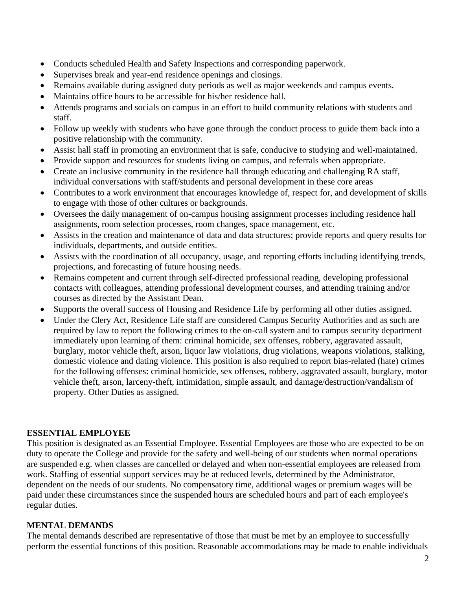- Conducts scheduled Health and Safety Inspections and corresponding paperwork.
- Supervises break and year-end residence openings and closings.
- Remains available during assigned duty periods as well as major weekends and campus events.
- Maintains office hours to be accessible for his/her residence hall.
- Attends programs and socials on campus in an effort to build community relations with students and staff.
- Follow up weekly with students who have gone through the conduct process to guide them back into a positive relationship with the community.
- Assist hall staff in promoting an environment that is safe, conducive to studying and well-maintained.
- Provide support and resources for students living on campus, and referrals when appropriate.
- Create an inclusive community in the residence hall through educating and challenging RA staff, individual conversations with staff/students and personal development in these core areas
- Contributes to a work environment that encourages knowledge of, respect for, and development of skills to engage with those of other cultures or backgrounds.
- Oversees the daily management of on-campus housing assignment processes including residence hall assignments, room selection processes, room changes, space management, etc.
- Assists in the creation and maintenance of data and data structures; provide reports and query results for individuals, departments, and outside entities.
- Assists with the coordination of all occupancy, usage, and reporting efforts including identifying trends, projections, and forecasting of future housing needs.
- Remains competent and current through self-directed professional reading, developing professional contacts with colleagues, attending professional development courses, and attending training and/or courses as directed by the Assistant Dean.
- Supports the overall success of Housing and Residence Life by performing all other duties assigned.
- Under the Clery Act, Residence Life staff are considered Campus Security Authorities and as such are required by law to report the following crimes to the on-call system and to campus security department immediately upon learning of them: criminal homicide, sex offenses, robbery, aggravated assault, burglary, motor vehicle theft, arson, liquor law violations, drug violations, weapons violations, stalking, domestic violence and dating violence. This position is also required to report bias-related (hate) crimes for the following offenses: criminal homicide, sex offenses, robbery, aggravated assault, burglary, motor vehicle theft, arson, larceny-theft, intimidation, simple assault, and damage/destruction/vandalism of property. Other Duties as assigned.

# **ESSENTIAL EMPLOYEE**

This position is designated as an Essential Employee. Essential Employees are those who are expected to be on duty to operate the College and provide for the safety and well-being of our students when normal operations are suspended e.g. when classes are cancelled or delayed and when non-essential employees are released from work. Staffing of essential support services may be at reduced levels, determined by the Administrator, dependent on the needs of our students. No compensatory time, additional wages or premium wages will be paid under these circumstances since the suspended hours are scheduled hours and part of each employee's regular duties.

# **MENTAL DEMANDS**

The mental demands described are representative of those that must be met by an employee to successfully perform the essential functions of this position. Reasonable accommodations may be made to enable individuals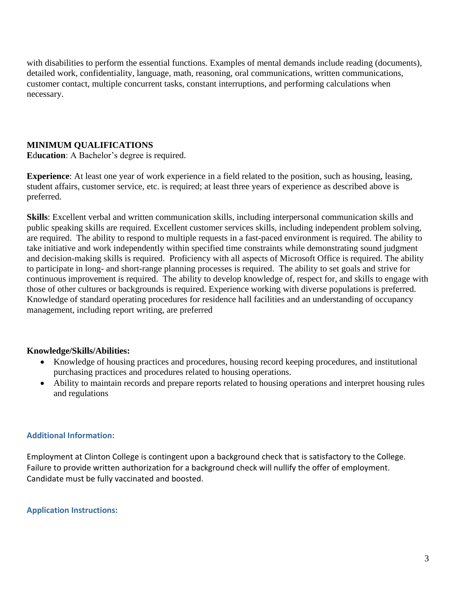with disabilities to perform the essential functions. Examples of mental demands include reading (documents), detailed work, confidentiality, language, math, reasoning, oral communications, written communications, customer contact, multiple concurrent tasks, constant interruptions, and performing calculations when necessary.

## **MINIMUM QUALIFICATIONS**

**E**d**ucation**: A Bachelor's degree is required.

**Experience**: At least one year of work experience in a field related to the position, such as housing, leasing, student affairs, customer service, etc. is required; at least three years of experience as described above is preferred.

**Skills**: Excellent verbal and written communication skills, including interpersonal communication skills and public speaking skills are required. Excellent customer services skills, including independent problem solving, are required. The ability to respond to multiple requests in a fast-paced environment is required. The ability to take initiative and work independently within specified time constraints while demonstrating sound judgment and decision-making skills is required. Proficiency with all aspects of Microsoft Office is required. The ability to participate in long- and short-range planning processes is required. The ability to set goals and strive for continuous improvement is required. The ability to develop knowledge of, respect for, and skills to engage with those of other cultures or backgrounds is required. Experience working with diverse populations is preferred. Knowledge of standard operating procedures for residence hall facilities and an understanding of occupancy management, including report writing, are preferred

## **Knowledge/Skills/Abilities:**

- Knowledge of housing practices and procedures, housing record keeping procedures, and institutional purchasing practices and procedures related to housing operations.
- Ability to maintain records and prepare reports related to housing operations and interpret housing rules and regulations

## **Additional Information:**

Employment at Clinton College is contingent upon a background check that is satisfactory to the College. Failure to provide written authorization for a background check will nullify the offer of employment. Candidate must be fully vaccinated and boosted.

## **Application Instructions:**